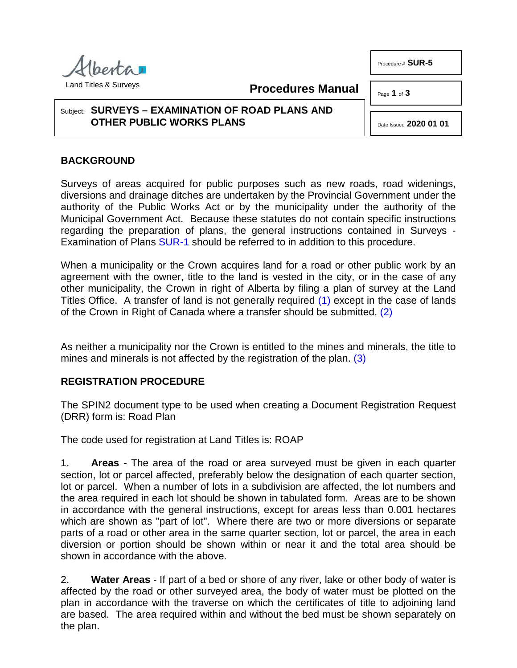

**Procedures Manual**

## Subject: **SURVEYS – EXAMINATION OF ROAD PLANS AND OTHER PUBLIC WORKS PLANS**

<span id="page-0-2"></span><span id="page-0-1"></span><span id="page-0-0"></span>Date Issued **2020 01 01**

Procedure # **SUR-5**

Page **1** of **3** 

## **BACKGROUND**

Surveys of areas acquired for public purposes such as new roads, road widenings, diversions and drainage ditches are undertaken by the Provincial Government under the authority of the Public Works Act or by the municipality under the authority of the Municipal Government Act. Because these statutes do not contain specific instructions regarding the preparation of plans, the general instructions contained in Surveys - Examination of Plans [SUR-1](http://www.servicealberta.ca/pdf/ltmanual/SUR-1.PDF) should be referred to in addition to this procedure.

When a municipality or the Crown acquires land for a road or other public work by an agreement with the owner, title to the land is vested in the city, or in the case of any other municipality, the Crown in right of Alberta by filing a plan of survey at the Land Titles Office. A transfer of land is not generally required [\(1\)](#page-2-0) except in the case of lands of the Crown in Right of Canada where a transfer should be submitted. [\(2\)](#page-2-1)

As neither a municipality nor the Crown is entitled to the mines and minerals, the title to mines and minerals is not affected by the registration of the plan. [\(3\)](#page-2-2)

## **REGISTRATION PROCEDURE**

The SPIN2 document type to be used when creating a Document Registration Request (DRR) form is: Road Plan

The code used for registration at Land Titles is: ROAP

1. **Areas** - The area of the road or area surveyed must be given in each quarter section, lot or parcel affected, preferably below the designation of each quarter section, lot or parcel. When a number of lots in a subdivision are affected, the lot numbers and the area required in each lot should be shown in tabulated form. Areas are to be shown in accordance with the general instructions, except for areas less than 0.001 hectares which are shown as "part of lot". Where there are two or more diversions or separate parts of a road or other area in the same quarter section, lot or parcel, the area in each diversion or portion should be shown within or near it and the total area should be shown in accordance with the above.

2. **Water Areas** - If part of a bed or shore of any river, lake or other body of water is affected by the road or other surveyed area, the body of water must be plotted on the plan in accordance with the traverse on which the certificates of title to adjoining land are based. The area required within and without the bed must be shown separately on the plan.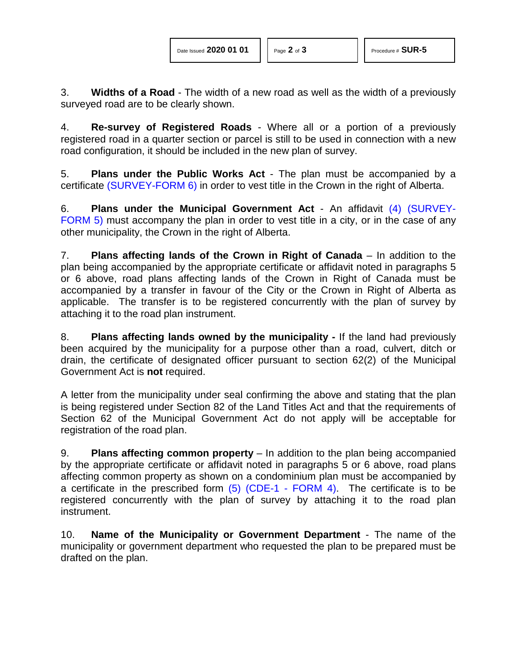3. **Widths of a Road** - The width of a new road as well as the width of a previously surveyed road are to be clearly shown.

4. **Re-survey of Registered Roads** - Where all or a portion of a previously registered road in a quarter section or parcel is still to be used in connection with a new road configuration, it should be included in the new plan of survey.

5. **Plans under the Public Works Act** - The plan must be accompanied by a certificate [\(SURVEY-FORM 6\)](http://www.servicealberta.ca/pdf/ltmanual/SURVEY-FORM6.PDF) in order to vest title in the Crown in the right of Alberta.

<span id="page-1-0"></span>6. **Plans under the Municipal Government Act** - An affidavit [\(4\)](#page-2-3) [\(SURVEY-](http://www.servicealberta.ca/pdf/ltmanual/SURVEY-FORM5.pdf)[FORM 5\)](http://www.servicealberta.ca/pdf/ltmanual/SURVEY-FORM5.pdf) must accompany the plan in order to vest title in a city, or in the case of any other municipality, the Crown in the right of Alberta.

7. **Plans affecting lands of the Crown in Right of Canada** – In addition to the plan being accompanied by the appropriate certificate or affidavit noted in paragraphs 5 or 6 above, road plans affecting lands of the Crown in Right of Canada must be accompanied by a transfer in favour of the City or the Crown in Right of Alberta as applicable. The transfer is to be registered concurrently with the plan of survey by attaching it to the road plan instrument.

8. **Plans affecting lands owned by the municipality -** If the land had previously been acquired by the municipality for a purpose other than a road, culvert, ditch or drain, the certificate of designated officer pursuant to section 62(2) of the Municipal Government Act is **not** required.

A letter from the municipality under seal confirming the above and stating that the plan is being registered under Section 82 of the Land Titles Act and that the requirements of Section 62 of the Municipal Government Act do not apply will be acceptable for registration of the road plan.

<span id="page-1-1"></span>9. **Plans affecting common property** – In addition to the plan being accompanied by the appropriate certificate or affidavit noted in paragraphs 5 or 6 above, road plans affecting common property as shown on a condominium plan must be accompanied by a certificate in the prescribed form  $(5)$  (CDE-1 - [FORM 4\).](http://www.servicealberta.ca/pdf/ltmanual/CDE-1-FORM4.pdf) The certificate is to be registered concurrently with the plan of survey by attaching it to the road plan instrument.

10. **Name of the Municipality or Government Department** - The name of the municipality or government department who requested the plan to be prepared must be drafted on the plan.